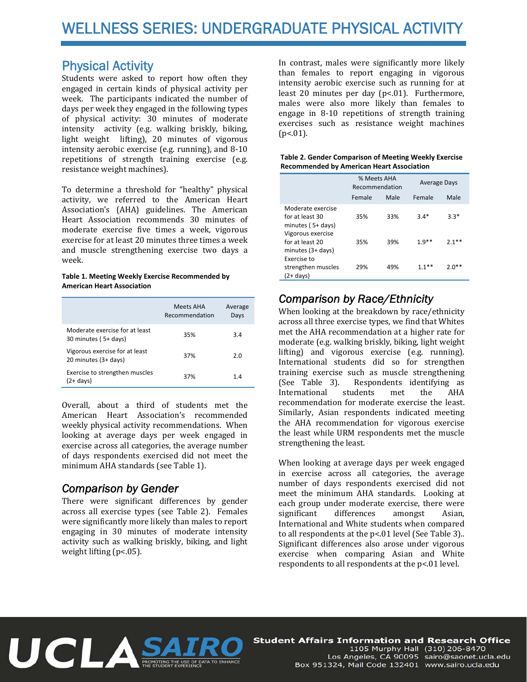## Physical Activity

Students were asked to report how often they engaged in certain kinds of physical activity per week. The participants indicated the number of days per week they engaged in the following types of physical activity: 30 minutes of moderate intensity activity (e.g. walking briskly, biking, light weight lifting), 20 minutes of vigorous intensity aerobic exercise (e.g. running), and 8-10 repetitions of strength training exercise (e.g. resistance weight machines).

To determine a threshold for "healthy" physical activity, we referred to the American Heart Association's (AHA) guidelines. The American Heart Association recommends 30 minutes of moderate exercise five times a week, vigorous exercise for at least 20 minutes three times a week and muscle strengthening exercise two days a week. 

#### **Table 1. Meeting Weekly Exercise Recommended by American Heart Association**

|                                                        | Meets AHA<br>Recommendation | Average<br>Days |
|--------------------------------------------------------|-----------------------------|-----------------|
| Moderate exercise for at least<br>30 minutes (5+ days) | 35%                         | 3.4             |
| Vigorous exercise for at least<br>20 minutes (3+ days) | 37%                         | 2.0             |
| Exercise to strengthen muscles<br>(2+ days)            | 37%                         | 1.4             |

Overall, about a third of students met the American Heart Association's recommended weekly physical activity recommendations. When looking at average days per week engaged in exercise across all categories, the average number of days respondents exercised did not meet the minimum AHA standards (see Table 1).

## *Comparison by Gender*

There were significant differences by gender across all exercise types (see Table 2). Females were significantly more likely than males to report engaging in 30 minutes of moderate intensity activity such as walking briskly, biking, and light weight lifting  $(p<.05)$ .

In contrast, males were significantly more likely than females to report engaging in vigorous intensity aerobic exercise such as running for at least 20 minutes per day  $(p<.01)$ . Furthermore, males were also more likely than females to engage in  $8-10$  repetitions of strength training exercises such as resistance weight machines  $(p<.01)$ .

### **Table 2. Gender Comparison of Meeting Weekly Exercise Recommended by American Heart Association**

|                                                                     | % Meets AHA<br>Recommendation |      | <b>Average Days</b> |         |  |
|---------------------------------------------------------------------|-------------------------------|------|---------------------|---------|--|
|                                                                     | Female                        | Male | Female              | Male    |  |
| Moderate exercise<br>for at least 30<br>minutes (5+ days)           | 35%                           | 33%  | $3.4*$              | $3.3*$  |  |
| Vigorous exercise<br>for at least 20<br>minutes $(3 + \text{days})$ | 35%                           | 39%  | $1.9***$            | ጋ 1**   |  |
| Exercise to<br>strengthen muscles<br>(2+ days)                      | 29%                           | 49%  | $1.1***$            | $2.0**$ |  |

# *Comparison by Race/Ethnicity*

When looking at the breakdown by race/ethnicity across all three exercise types, we find that Whites met the AHA recommendation at a higher rate for moderate (e.g. walking briskly, biking, light weight lifting) and vigorous exercise (e.g. running). International students did so for strengthen training exercise such as muscle strengthening (See Table 3). Respondents identifying as International students met the AHA recommendation for moderate exercise the least. Similarly, Asian respondents indicated meeting the AHA recommendation for vigorous exercise the least while URM respondents met the muscle strengthening the least.

When looking at average days per week engaged in exercise across all categories, the average number of days respondents exercised did not meet the minimum AHA standards. Looking at each group under moderate exercise, there were significant differences amongst Asian, International and White students when compared to all respondents at the  $p<.01$  level (See Table 3)... Significant differences also arose under vigorous exercise when comparing Asian and White respondents to all respondents at the  $p<.01$  level.



**Student Affairs Information and Research Office** 1105 Murphy Hall (310) 206-8470 Los Angeles, CA 90095 sairo@saonet.ucla.edu Box 951324, Mail Code 132401 www.sairo.ucla.edu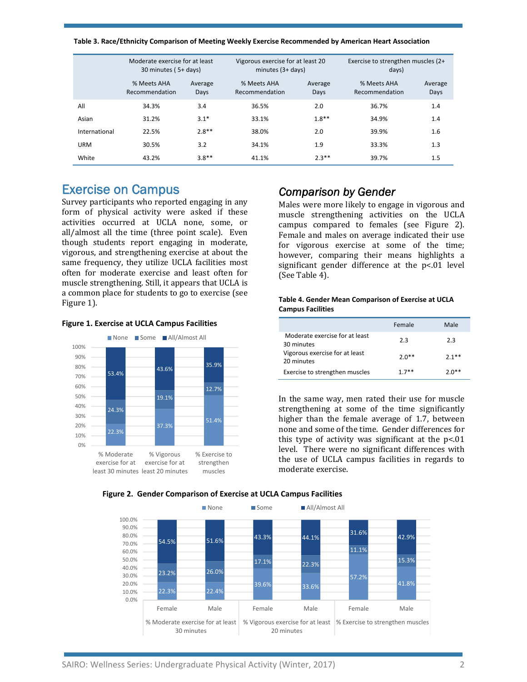| Table 3. Race/Ethnicity Comparison of Meeting Weekly Exercise Recommended by American Heart Association |  |  |  |
|---------------------------------------------------------------------------------------------------------|--|--|--|
|---------------------------------------------------------------------------------------------------------|--|--|--|

|               | Moderate exercise for at least<br>30 minutes (5+ days) |                 | Vigorous exercise for at least 20<br>minutes $(3 + days)$ |                 | Exercise to strengthen muscles (2+<br>days) |                 |
|---------------|--------------------------------------------------------|-----------------|-----------------------------------------------------------|-----------------|---------------------------------------------|-----------------|
|               | % Meets AHA<br>Recommendation                          | Average<br>Days | % Meets AHA<br>Recommendation                             | Average<br>Days | % Meets AHA<br>Recommendation               | Average<br>Days |
| All           | 34.3%                                                  | 3.4             | 36.5%                                                     | 2.0             | 36.7%                                       | 1.4             |
| Asian         | 31.2%                                                  | $3.1*$          | 33.1%                                                     | $1.8**$         | 34.9%                                       | 1.4             |
| International | 22.5%                                                  | $2.8**$         | 38.0%                                                     | 2.0             | 39.9%                                       | 1.6             |
| <b>URM</b>    | 30.5%                                                  | 3.2             | 34.1%                                                     | 1.9             | 33.3%                                       | 1.3             |
| White         | 43.2%                                                  | $3.8**$         | 41.1%                                                     | $2.3***$        | 39.7%                                       | 1.5             |

## Exercise on Campus

Survey participants who reported engaging in any form of physical activity were asked if these activities occurred at UCLA none, some, or all/almost all the time (three point scale). Even though students report engaging in moderate, vigorous, and strengthening exercise at about the same frequency, they utilize UCLA facilities most often for moderate exercise and least often for muscle strengthening. Still, it appears that UCLA is a common place for students to go to exercise (see Figure 1).

### **Figure 1. Exercise at UCLA Campus Facilities**



### *Comparison by Gender*

Males were more likely to engage in vigorous and muscle strengthening activities on the UCLA campus compared to females (see Figure 2). Female and males on average indicated their use for vigorous exercise at some of the time; however, comparing their means highlights a significant gender difference at the p<.01 level (See Table 4).

#### **Table 4. Gender Mean Comparison of Exercise at UCLA Campus Facilities**

|                                              | Female  | Male         |
|----------------------------------------------|---------|--------------|
| Moderate exercise for at least<br>30 minutes | 2.3     | 2.3          |
| Vigorous exercise for at least<br>20 minutes | $2.0**$ | $2.1**$      |
| Exercise to strengthen muscles               | $17**$  | <b>2 ሀ**</b> |

In the same way, men rated their use for muscle strengthening at some of the time significantly higher than the female average of 1.7, between none and some of the time. Gender differences for this type of activity was significant at the  $p<01$ level. There were no significant differences with the use of UCLA campus facilities in regards to moderate exercise

### **Figure 2. Gender Comparison of Exercise at UCLA Campus Facilities**